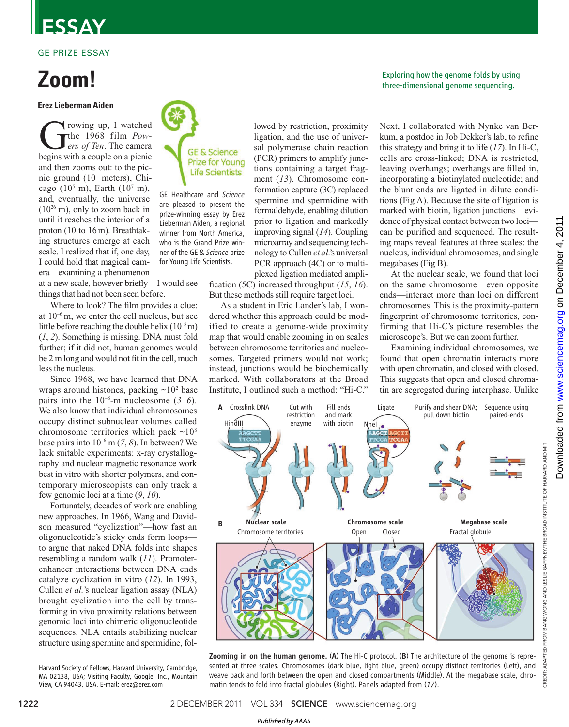# ESSAY

### GE PRIZE ESSAY

# **Zoom!**

### **Erez Lieberman Aiden**

The 1968 film *Pow-*<br> *ers of Ten*. The camera<br>
begins with a couple on a picnic rowing up, I watched the 1968 film *Powers of Ten*. The camera and then zooms out: to the picnic ground (10<sup>1</sup> meters), Chicago  $(10^5 \text{ m})$ , Earth  $(10^7 \text{ m})$ , and, eventually, the universe (10<sup>26</sup> m), only to zoom back in until it reaches the interior of a proton (10 to 16m). Breathtaking structures emerge at each scale. I realized that if, one day, I could hold that magical camera—examining a phenomenon

at a new scale, however briefly—I would see things that had not been seen before.

Where to look? The film provides a clue: at  $10^{-6}$  m, we enter the cell nucleus, but see little before reaching the double helix  $(10^{-8} \text{m})$ (*1*, *2*). Something is missing. DNA must fold further; if it did not, human genomes would be 2 m long and would not fit in the cell, much less the nucleus.

Since 1968, we have learned that DNA wraps around histones, packing  $\sim 10^2$  base pairs into the 10–8-m nucleosome (*3*–*6*). We also know that individual chromosomes occupy distinct subnuclear volumes called chromosome territories which pack  $\sim 10^8$ base pairs into 10–6 m (*7*, *8*). In between? We lack suitable experiments: x-ray crystallography and nuclear magnetic resonance work best in vitro with shorter polymers, and contemporary microscopists can only track a few genomic loci at a time (*9*, *10*).

Fortunately, decades of work are enabling new approaches. In 1966, Wang and Davidson measured "cyclization"—how fast an oligonucleotide's sticky ends form loops to argue that naked DNA folds into shapes resembling a random walk (*11*). Promoterenhancer interactions between DNA ends catalyze cyclization in vitro (*12*). In 1993, Cullen *et al.*'s nuclear ligation assay (NLA) brought cyclization into the cell by transforming in vivo proximity relations between genomic loci into chimeric oligonucleotide sequences. NLA entails stabilizing nuclear structure using spermine and spermidine, fol-

Harvard Society of Fellows, Harvard University, Cambridge, MA 02138, USA; Visiting Faculty, Google, Inc., Mountain View, CA 94043, USA. E-mail: erez@erez.com



GE Healthcare and *Science* are pleased to present the prize-winning essay by Erez Lieberman Aiden, a regional winner from North America, who is the Grand Prize winner of the GE & *Science* prize for Young Life Scientists.

lowed by restriction, proximity ligation, and the use of universal polymerase chain reaction (PCR) primers to amplify junctions containing a target fragment (*13*). Chromosome conformation capture (3C) replaced spermine and spermidine with formaldehyde, enabling dilution prior to ligation and markedly improving signal (*14*). Coupling microarray and sequencing technology to Cullen *et al*.'s universal PCR approach (4C) or to multiplexed ligation mediated ampli-

fication (5C) increased throughput (15, 16). But these methods still require target loci.

As a student in Eric Lander's lab, I wondered whether this approach could be modified to create a genome-wide proximity map that would enable zooming in on scales between chromosome territories and nucleosomes. Targeted primers would not work; instead, junctions would be biochemically marked. With collaborators at the Broad Institute, I outlined such a method: "Hi-C."

Exploring how the genome folds by using three-dimensional genome sequencing.

Next, I collaborated with Nynke van Berkum, a postdoc in Job Dekker's lab, to refine this strategy and bring it to life (*17*). In Hi-C, cells are cross-linked; DNA is restricted, leaving overhangs; overhangs are filled in, incorporating a biotinylated nucleotide; and the blunt ends are ligated in dilute conditions (Fig A). Because the site of ligation is marked with biotin, ligation junctions—evidence of physical contact between two loci can be purified and sequenced. The resulting maps reveal features at three scales: the nucleus, individual chromosomes, and single megabases (Fig B).

At the nuclear scale, we found that loci on the same chromosome—even opposite ends—interact more than loci on different chromosomes. This is the proximity-pattern fingerprint of chromosome territories, confirming that Hi-C's picture resembles the microscope's. But we can zoom further.

Examining individual chromosomes, we found that open chromatin interacts more with open chromatin, and closed with closed. This suggests that open and closed chromatin are segregated during interphase. Unlike



Zooming in on the human genome. (A) The Hi-C protocol. (B) The architecture of the genome is represented at three scales. Chromosomes (dark blue, light blue, green) occupy distinct territories (Left), and weave back and forth between the open and closed compartments (Middle). At the megabase scale, chromatin tends to fold into fractal globules (Right). Panels adapted from (*17*).

CREDIT: ADAPTED FROM BANG WONG AND LESLIE GAFFNEY/THE BROAD INSTITUTE OF HARVARD AND MIT

**CREDIT:** 

ADAPTED FROM BANG WONG AND LESLIE GAFFNEY/THE BROAD INSTITUTE OF HARVARD AND MIT

#### *Published byAAAS*